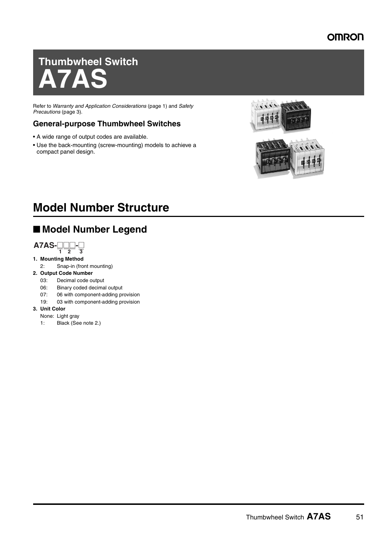# **Thumbwheel Switch A7AS**

Refer to *Warranty and Application Considerations* (page 1) and *Safety Precautions* (page 3).

#### **General-purpose Thumbwheel Switches**

- A wide range of output codes are available.
- Use the back-mounting (screw-mounting) models to achieve a compact panel design.





# **Model Number Structure**

## ■ **Model Number Legend**



#### **1. Mounting Method**

2: Snap-in (front mounting)

#### **2. Output Code Number**

- 03: Decimal code output
- 06: Binary coded decimal output
- 07: 06 with component-adding provision
- 19: 03 with component-adding provision
- **3. Unit Color**
	- None: Light gray
	- 1: Black (See note 2.)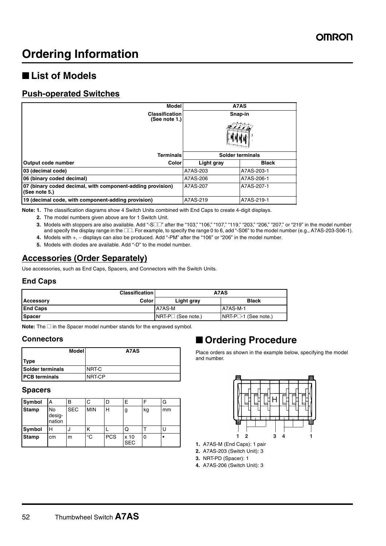# **Ordering Information**

## ■ List of Models

#### **Push-operated Switches**

| <b>Model</b>                                                                |            | A7AS             |  |  |
|-----------------------------------------------------------------------------|------------|------------------|--|--|
| <b>Classification</b><br>(See note 1.)                                      | Snap-in    |                  |  |  |
|                                                                             |            |                  |  |  |
| <b>Terminals</b>                                                            |            | Solder terminals |  |  |
| Output code number<br>Color                                                 | Light gray | <b>Black</b>     |  |  |
| 03 (decimal code)                                                           | A7AS-203   | A7AS-203-1       |  |  |
| 06 (binary coded decimal)                                                   | A7AS-206   | A7AS-206-1       |  |  |
| 07 (binary coded decimal, with component-adding provision)<br>(See note 5.) | A7AS-207   | A7AS-207-1       |  |  |
| 19 (decimal code, with component-adding provision)                          | A7AS-219   | A7AS-219-1       |  |  |

**Note: 1.** The classification diagrams show 4 Switch Units combined with End Caps to create 4-digit displays.

- **2.** The model numbers given above are for 1 Switch Unit.
- **3.** Models with stoppers are also available. Add "-S□□" after the "103," "106," "107," "119," "203," "206," "207," or "219" in the model number and specify the display range in the  $\square\square$ . For example, to specify the range 0 to 6, add "-S06" to the model number (e.g., A7AS-203-S06-1).
- **4.** Models with +, − displays can also be produced. Add "-PM" after the "106" or "206" in the model number.
- **5.** Models with diodes are available. Add "-D" to the model number.

### **Accessories (Order Separately)**

Use accessories, such as End Caps, Spacers, and Connectors with the Switch Units.

#### **End Caps**

|                  | <b>Classification</b> | A7AS                 |                            |  |
|------------------|-----------------------|----------------------|----------------------------|--|
| <b>Accessory</b> | <b>Color</b>          | Light gray           | <b>Black</b>               |  |
| <b>End Caps</b>  |                       | A7AS-M               | <b>A7AS-M-1</b>            |  |
| <b>Spacer</b>    |                       | $NRT-P1$ (See note.) | $NRT-P \Box 1$ (See note.) |  |

Note: The  $\square$  in the Spacer model number stands for the engraved symbol.

#### **Connectors**

|                         | Model | A7AS   |
|-------------------------|-------|--------|
| <b>ITvpe</b>            |       |        |
| <b>Solder terminals</b> |       | NRT-C  |
| <b>IPCB terminals</b>   |       | NRT-CP |

#### **Spacers**

| Symbol       | А                             | B          | С          | D          | E                  |    | G  |
|--------------|-------------------------------|------------|------------|------------|--------------------|----|----|
| <b>Stamp</b> | <b>No</b><br>desig-<br>nation | <b>SEC</b> | <b>MIN</b> | Н          | g                  | kg | mm |
| Symbol       | н                             | u          | κ          |            | Q                  |    | U  |
| <b>Stamp</b> | cm                            | m          | °C         | <b>PCS</b> | x 10<br><b>SEC</b> | 0  |    |

## ■ **Ordering Procedure**

Place orders as shown in the example below, specifying the model and number.



- **1.** A7AS-M (End Caps): 1 pair
- **2.** A7AS-203 (Switch Unit): 3
- **3.** NRT-PD (Spacer): 1
- **4.** A7AS-206 (Switch Unit): 3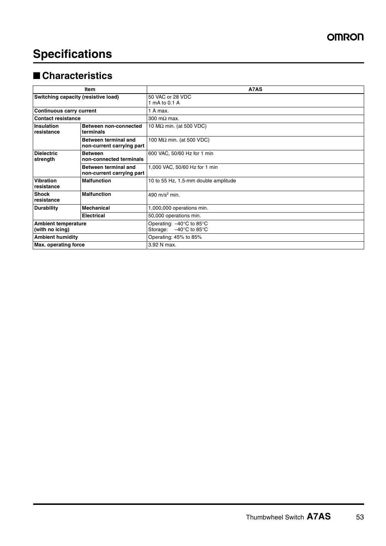# **Specifications**

## ■ **Characteristics**

| Item                                                                           |                                                   | A7AS                                                                                            |
|--------------------------------------------------------------------------------|---------------------------------------------------|-------------------------------------------------------------------------------------------------|
| Switching capacity (resistive load)                                            |                                                   | 50 VAC or 28 VDC<br>1 mA to 0.1 A                                                               |
| <b>Continuous carry current</b>                                                |                                                   | 1 A max.                                                                                        |
| <b>Contact resistance</b>                                                      |                                                   | 300 m $\Omega$ max.                                                                             |
| <b>Insulation</b><br>Between non-connected<br><b>I</b> resistance<br>terminals |                                                   | 10 MΩ min. (at 500 VDC)                                                                         |
|                                                                                | Between terminal and<br>non-current carrying part | 100 $M\Omega$ min. (at 500 VDC)                                                                 |
| <b>Dielectric</b><br>strength                                                  | <b>Between</b><br>non-connected terminals         | 600 VAC, 50/60 Hz for 1 min                                                                     |
|                                                                                | Between terminal and<br>non-current carrying part | 1,000 VAC, 50/60 Hz for 1 min                                                                   |
| <b>Vibration</b><br>resistance                                                 | <b>Malfunction</b>                                | 10 to 55 Hz, 1.5-mm double amplitude                                                            |
| <b>Shock</b><br>Iresistance                                                    | <b>Malfunction</b>                                | 490 m/s <sup>2</sup> min.                                                                       |
| <b>Durability</b>                                                              | <b>Mechanical</b>                                 | 1,000,000 operations min.                                                                       |
| <b>Electrical</b>                                                              |                                                   | 50,000 operations min.                                                                          |
| <b>Ambient temperature</b><br>(with no icing)                                  |                                                   | Operating: $-40^{\circ}$ C to 85 $^{\circ}$ C<br>$-40^{\circ}$ C to 85 $^{\circ}$ C<br>Storage: |
| <b>Ambient humidity</b>                                                        |                                                   | Operating: 45% to 85%                                                                           |
| <b>Max.</b> operating force                                                    |                                                   | 3.92 N max.                                                                                     |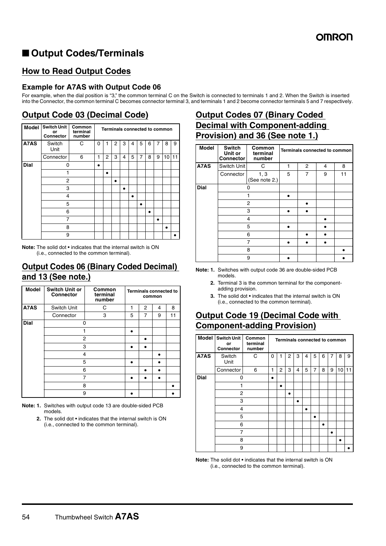## ■ Output Codes/Terminals

### **How to Read Output Codes**

#### **Example for A7AS with Output Code 06**

For example, when the dial position is "3," the common terminal C on the Switch is connected to terminals 1 and 2. When the Switch is inserted into the Connector, the common terminal C becomes connector terminal 3, and terminals 1 and 2 become connector terminals 5 and 7 respectively.

## **Output Code 03 (Decimal Code)**

| <b>Model</b> | <b>Switch Unit</b><br>or<br>Connector | Common<br>terminal<br>number | Terminals connected to common |   |   |   |   |   |   |   |                 |    |
|--------------|---------------------------------------|------------------------------|-------------------------------|---|---|---|---|---|---|---|-----------------|----|
| A7AS         | Switch<br>Unit                        | C                            | 0                             | 1 | 2 | 3 | 4 | 5 | 6 | 7 | 8               | 9  |
|              | Connector                             | 6                            | 1                             | 2 | 3 | 4 | 5 | 7 | 8 | 9 | 10 <sup>1</sup> | 11 |
| <b>Dial</b>  | ი                                     |                              |                               |   |   |   |   |   |   |   |                 |    |
|              |                                       |                              |                               |   |   |   |   |   |   |   |                 |    |
|              | $\overline{2}$                        |                              |                               |   | ٠ |   |   |   |   |   |                 |    |
|              | 3                                     |                              |                               |   |   | ٠ |   |   |   |   |                 |    |
|              | 4                                     |                              |                               |   |   |   | ٠ |   |   |   |                 |    |
|              | 5                                     |                              |                               |   |   |   |   |   |   |   |                 |    |
|              | 6                                     |                              |                               |   |   |   |   |   | ٠ |   |                 |    |
|              | 7                                     |                              |                               |   |   |   |   |   |   |   |                 |    |
|              | 8                                     |                              |                               |   |   |   |   |   |   |   |                 |    |
|              | 9                                     |                              |                               |   |   |   |   |   |   |   |                 |    |

**Note:** The solid dot • indicates that the internal switch is ON (i.e., connected to the common terminal).

#### **Output Codes 06 (Binary Coded Decimal) and 13 (See note.)**

| <b>Model</b> | <b>Switch Unit or</b><br><b>Connector</b> | Common<br>terminal<br>number |   | <b>Terminals connected to</b> | common |    |
|--------------|-------------------------------------------|------------------------------|---|-------------------------------|--------|----|
| A7AS         | Switch Unit                               | C                            | 1 | 2                             | 4      | 8  |
|              | Connector                                 | 3                            | 5 | 7                             | 9      | 11 |
| <b>Dial</b>  |                                           | ŋ                            |   |                               |        |    |
|              | 1                                         |                              |   |                               |        |    |
|              | 2                                         |                              |   |                               |        |    |
|              |                                           | 3                            |   |                               |        |    |
|              |                                           | 4                            |   |                               |        |    |
|              |                                           | 5                            |   |                               |        |    |
|              | 6                                         |                              |   |                               |        |    |
|              | 7                                         |                              |   |                               |        |    |
|              | 8                                         |                              |   |                               |        |    |
|              | 9                                         |                              |   |                               |        |    |

**Note: 1.** Switches with output code 13 are double-sided PCB models.

> **2.** The solid dot • indicates that the internal switch is ON (i.e., connected to the common terminal).

## **Output Codes 07 (Binary Coded Decimal with Component-adding Provision) and 36 (See note 1.)**

| <b>Model</b> | <b>Switch</b><br>Unit or<br><b>Connector</b> | Common<br>terminal<br>number |   |                | Terminals connected to common |    |
|--------------|----------------------------------------------|------------------------------|---|----------------|-------------------------------|----|
| A7AS         | Switch Unit                                  | С                            | 1 | $\overline{2}$ | 4                             | 8  |
|              | Connector                                    | 1, 3<br>(See note 2.)        | 5 | 7              | 9                             | 11 |
| <b>Dial</b>  |                                              |                              |   |                |                               |    |
|              |                                              |                              |   |                |                               |    |
|              | 2                                            |                              |   |                |                               |    |
|              |                                              | 3                            |   |                |                               |    |
|              |                                              | 4                            |   |                |                               |    |
|              |                                              | 5                            |   |                |                               |    |
|              | 6                                            |                              |   |                |                               |    |
|              |                                              |                              |   |                |                               |    |
|              | 8                                            |                              |   |                |                               |    |
|              | 9                                            |                              |   |                |                               |    |

- **Note: 1.** Switches with output code 36 are double-sided PCB models.
	- **2.** Terminal 3 is the common terminal for the componentadding provision.
	- **3.** The solid dot indicates that the internal switch is ON (i.e., connected to the common terminal).

### **Output Code 19 (Decimal Code with Component-adding Provision)**

| <b>Model</b> | <b>Switch Unit</b><br>or<br>Connector | Common<br>terminal<br>number |   | Terminals connected to common |   |   |   |   |   |   |    |    |
|--------------|---------------------------------------|------------------------------|---|-------------------------------|---|---|---|---|---|---|----|----|
| A7AS         | Switch<br>Unit                        | C                            | 0 |                               | 2 | 3 | 4 | 5 | 6 | 7 | 8  | 9  |
|              | Connector                             | 6                            | 1 | 2                             | 3 | 4 | 5 | 7 | 8 | 9 | 10 | 11 |
| <b>Dial</b>  | 0                                     |                              |   |                               |   |   |   |   |   |   |    |    |
|              | 1                                     |                              |   | ٠                             |   |   |   |   |   |   |    |    |
|              | 2                                     |                              |   |                               | ٠ |   |   |   |   |   |    |    |
|              | 3                                     |                              |   |                               |   |   |   |   |   |   |    |    |
|              | 4                                     |                              |   |                               |   |   | ٠ |   |   |   |    |    |
|              | 5                                     |                              |   |                               |   |   |   |   |   |   |    |    |
|              | 6                                     |                              |   |                               |   |   |   |   |   |   |    |    |
|              | 7                                     |                              |   |                               |   |   |   |   |   | ٠ |    |    |
|              | 8                                     |                              |   |                               |   |   |   |   |   |   |    |    |
|              | 9                                     |                              |   |                               |   |   |   |   |   |   |    |    |

**Note:** The solid dot • indicates that the internal switch is ON (i.e., connected to the common terminal).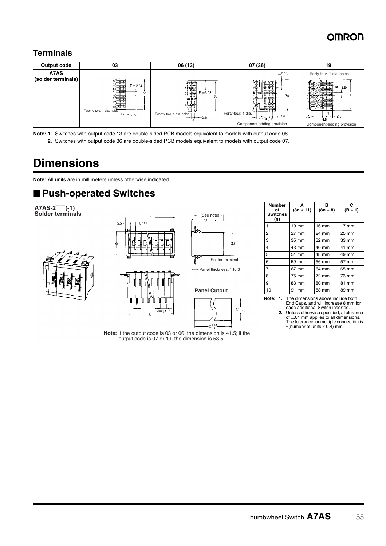### **Terminals**



**Note: 1.** Switches with output code 13 are double-sided PCB models equivalent to models with output code 06. **2.** Switches with output code 36 are double-sided PCB models equivalent to models with output code 07.

# **Dimensions**

**Note:** All units are in millimeters unless otherwise indicated.

## ■ **Push-operated Switches**

**A7AS-2**@@**(-1) Solder terminals**





**Note:** If the output code is 03 or 06, the dimension is 41.5; if the output code is 07 or 19, the dimension is 53.5.

 $31^{10}_{-0.4}$ 

| <b>Number</b><br>of<br><b>Switches</b><br>(n) | A<br>$(8n + 11)$ | в<br>$(8n + 8)$ | C<br>$(B + 1)$  |
|-----------------------------------------------|------------------|-----------------|-----------------|
| $\overline{1}$                                | $19 \text{ mm}$  | 16 mm           | $17 \text{ mm}$ |
| $\overline{2}$                                | 27 mm            | 24 mm           | 25 mm           |
| $\overline{3}$                                | 35 mm            | 32 mm           | 33 mm           |
| $\overline{4}$                                | 43 mm            | 40 mm           | 41 mm           |
| $5\overline{5}$                               | 51 mm            | 48 mm           | 49 mm           |
| 6                                             | 59 mm            | 56 mm           | 57 mm           |
| l7                                            | 67 mm            | 64 mm           | 65 mm           |
| 8                                             | 75 mm            | 72 mm           | 73 mm           |
| $\overline{9}$                                | 83 mm            | 80 mm           | 81 mm           |
| 10                                            | 91 mm            | 88 mm           | 89 mm           |

**Note: 1.** The dimensions above include both End Caps, and will increase 8 mm for each additional Switch inserted.

**2.** Unless otherwise specified, a tolerance of ±0.4 mm applies to all dimensions. The tolerance for multiple connection is  $\pm$ (number of units x 0.4) mm.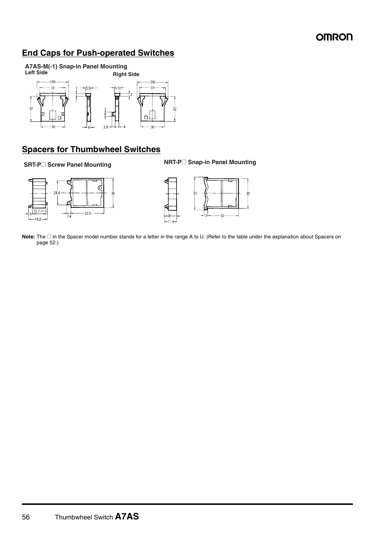### **End Caps for Push-operated Switches**



#### **Spacers for Thumbwheel Switches**

**SRT-P@ Screw Panel Mounting NRT-P@ Snap-in Panel Mounting**





**Note:** The □ in the Spacer model number stands for a letter in the range A to U. (Refer to the table under the explanation about Spacers on page 52.)